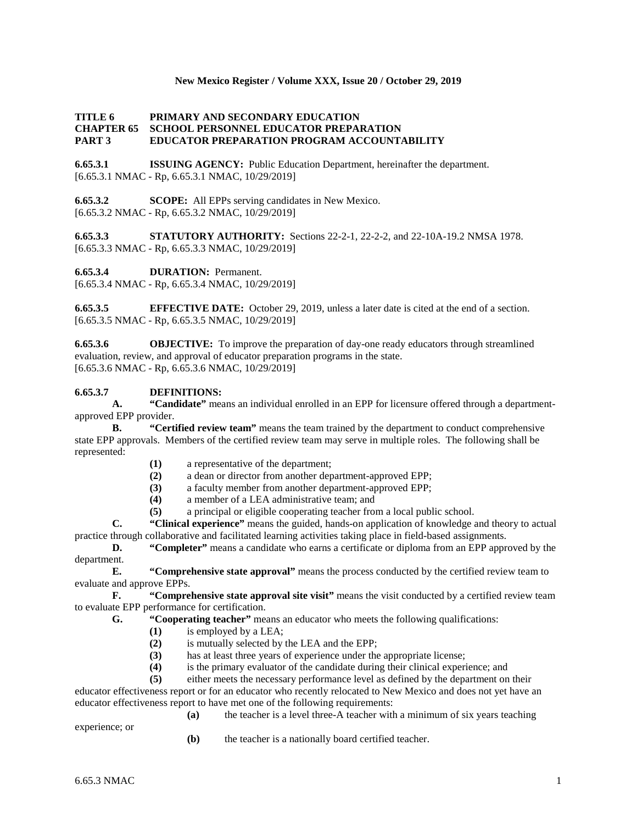## **New Mexico Register / Volume XXX, Issue 20 / October 29, 2019**

# **TITLE 6 PRIMARY AND SECONDARY EDUCATION CHAPTER 65 SCHOOL PERSONNEL EDUCATOR PREPARATION PART 3 EDUCATOR PREPARATION PROGRAM ACCOUNTABILITY**

**6.65.3.1 ISSUING AGENCY:** Public Education Department, hereinafter the department. [6.65.3.1 NMAC - Rp, 6.65.3.1 NMAC, 10/29/2019]

**6.65.3.2 SCOPE:** All EPPs serving candidates in New Mexico. [6.65.3.2 NMAC - Rp, 6.65.3.2 NMAC, 10/29/2019]

**6.65.3.3 STATUTORY AUTHORITY:** Sections 22-2-1, 22-2-2, and 22-10A-19.2 NMSA 1978. [6.65.3.3 NMAC - Rp, 6.65.3.3 NMAC, 10/29/2019]

**6.65.3.4 DURATION:** Permanent.

[6.65.3.4 NMAC - Rp, 6.65.3.4 NMAC, 10/29/2019]

**6.65.3.5 EFFECTIVE DATE:** October 29, 2019, unless a later date is cited at the end of a section. [6.65.3.5 NMAC - Rp, 6.65.3.5 NMAC, 10/29/2019]

**6.65.3.6 OBJECTIVE:** To improve the preparation of day-one ready educators through streamlined evaluation, review, and approval of educator preparation programs in the state. [6.65.3.6 NMAC - Rp, 6.65.3.6 NMAC, 10/29/2019]

### **6.65.3.7 DEFINITIONS:**

**A. "Candidate"** means an individual enrolled in an EPP for licensure offered through a departmentapproved EPP provider.

**B. "Certified review team"** means the team trained by the department to conduct comprehensive state EPP approvals. Members of the certified review team may serve in multiple roles. The following shall be represented:

- **(1)** a representative of the department;
- **(2)** a dean or director from another department-approved EPP;
- **(3)** a faculty member from another department-approved EPP;
- **(4)** a member of a LEA administrative team; and
- **(5)** a principal or eligible cooperating teacher from a local public school.

**C. "Clinical experience"** means the guided, hands-on application of knowledge and theory to actual practice through collaborative and facilitated learning activities taking place in field-based assignments.

**D. "Completer"** means a candidate who earns a certificate or diploma from an EPP approved by the department.

**E. "Comprehensive state approval"** means the process conducted by the certified review team to evaluate and approve EPPs.

**F. "Comprehensive state approval site visit"** means the visit conducted by a certified review team to evaluate EPP performance for certification.

**G. "Cooperating teacher"** means an educator who meets the following qualifications:

- **(1)** is employed by a LEA;
- (2) is mutually selected by the LEA and the EPP;<br>(3) has at least three years of experience under the
- has at least three years of experience under the appropriate license;
- **(4)** is the primary evaluator of the candidate during their clinical experience; and

**(5)** either meets the necessary performance level as defined by the department on their

educator effectiveness report or for an educator who recently relocated to New Mexico and does not yet have an educator effectiveness report to have met one of the following requirements:

experience; or

**(a)** the teacher is a level three-A teacher with a minimum of six years teaching

**(b)** the teacher is a nationally board certified teacher.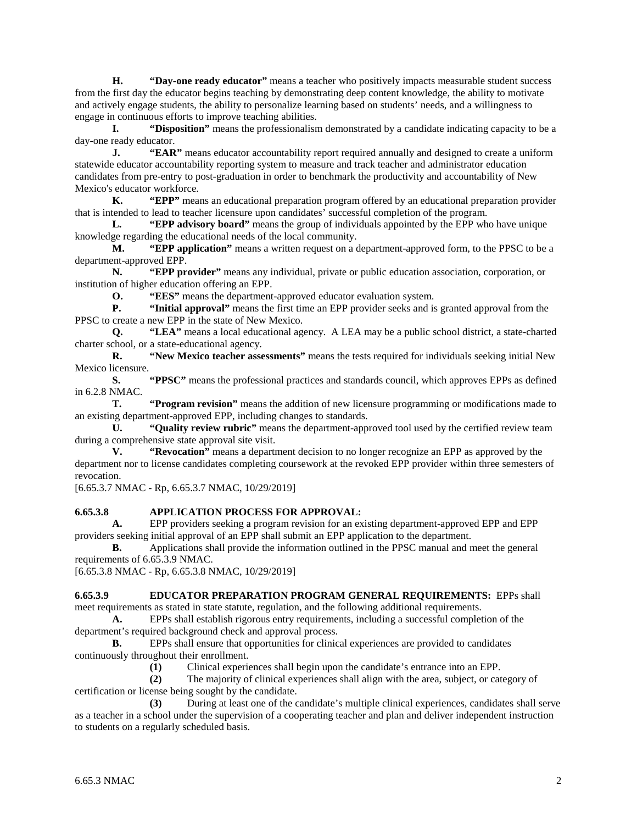**H. "Day-one ready educator"** means a teacher who positively impacts measurable student success from the first day the educator begins teaching by demonstrating deep content knowledge, the ability to motivate and actively engage students, the ability to personalize learning based on students' needs, and a willingness to engage in continuous efforts to improve teaching abilities.

**I. "Disposition"** means the professionalism demonstrated by a candidate indicating capacity to be a day-one ready educator.

**J. "EAR"** means educator accountability report required annually and designed to create a uniform statewide educator accountability reporting system to measure and track teacher and administrator education candidates from pre-entry to post-graduation in order to benchmark the productivity and accountability of New Mexico's educator workforce.

**K. "EPP"** means an educational preparation program offered by an educational preparation provider that is intended to lead to teacher licensure upon candidates' successful completion of the program.

**L. "EPP advisory board"** means the group of individuals appointed by the EPP who have unique knowledge regarding the educational needs of the local community.

**M. "EPP application"** means a written request on a department-approved form, to the PPSC to be a department-approved EPP.

**N. "EPP provider"** means any individual, private or public education association, corporation, or institution of higher education offering an EPP.

**O. "EES"** means the department-approved educator evaluation system.<br>**P. "Initial approval"** means the first time an EPP provider seeks and is

**P. "Initial approval"** means the first time an EPP provider seeks and is granted approval from the PPSC to create a new EPP in the state of New Mexico.

**Q. "LEA"** means a local educational agency. A LEA may be a public school district, a state-charted charter school, or a state-educational agency.

**R. "New Mexico teacher assessments"** means the tests required for individuals seeking initial New Mexico licensure.

**S. "PPSC"** means the professional practices and standards council, which approves EPPs as defined in 6.2.8 NMAC.

**T. "Program revision"** means the addition of new licensure programming or modifications made to an existing department-approved EPP, including changes to standards.

**U. "Quality review rubric"** means the department-approved tool used by the certified review team during a comprehensive state approval site visit.

**V. "Revocation"** means a department decision to no longer recognize an EPP as approved by the department nor to license candidates completing coursework at the revoked EPP provider within three semesters of revocation.

[6.65.3.7 NMAC - Rp, 6.65.3.7 NMAC, 10/29/2019]

#### **6.65.3.8 APPLICATION PROCESS FOR APPROVAL:**

**A.** EPP providers seeking a program revision for an existing department-approved EPP and EPP providers seeking initial approval of an EPP shall submit an EPP application to the department.

**B.** Applications shall provide the information outlined in the PPSC manual and meet the general requirements of 6.65.3.9 NMAC.

[6.65.3.8 NMAC - Rp, 6.65.3.8 NMAC, 10/29/2019]

#### **6.65.3.9 EDUCATOR PREPARATION PROGRAM GENERAL REQUIREMENTS:** EPPs shall

meet requirements as stated in state statute, regulation, and the following additional requirements.

**A.** EPPs shall establish rigorous entry requirements, including a successful completion of the department's required background check and approval process.

**B.** EPPs shall ensure that opportunities for clinical experiences are provided to candidates continuously throughout their enrollment.

**(1)** Clinical experiences shall begin upon the candidate's entrance into an EPP.

**(2)** The majority of clinical experiences shall align with the area, subject, or category of certification or license being sought by the candidate.

**(3)** During at least one of the candidate's multiple clinical experiences, candidates shall serve as a teacher in a school under the supervision of a cooperating teacher and plan and deliver independent instruction to students on a regularly scheduled basis.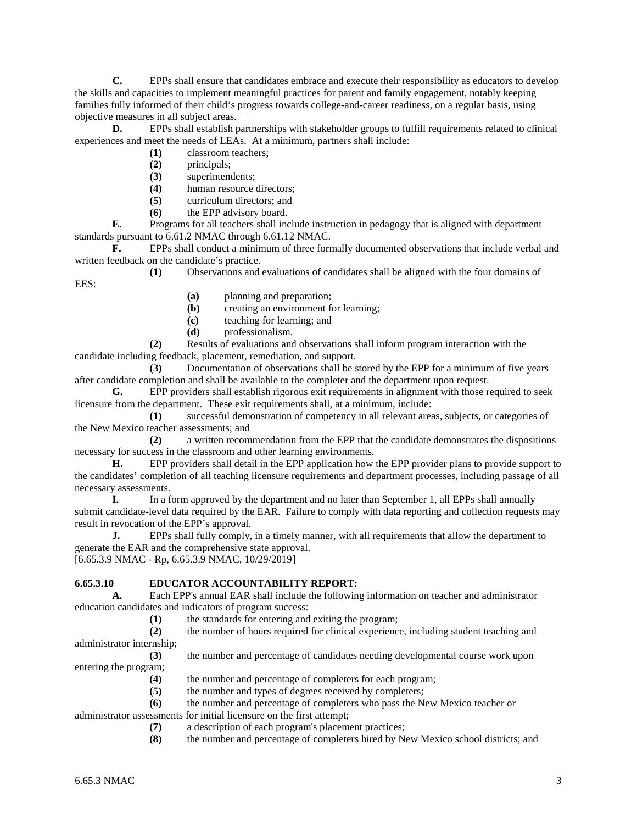**C.** EPPs shall ensure that candidates embrace and execute their responsibility as educators to develop the skills and capacities to implement meaningful practices for parent and family engagement, notably keeping families fully informed of their child's progress towards college-and-career readiness, on a regular basis, using objective measures in all subject areas.

**D.** EPPs shall establish partnerships with stakeholder groups to fulfill requirements related to clinical experiences and meet the needs of LEAs. At a minimum, partners shall include:

**(1)** classroom teachers;

- **(2)** principals;
- **(3)** superintendents;
- (4) human resource directors;<br>(5) curriculum directors: and
- **(5)** curriculum directors; and
- **(6)** the EPP advisory board.

**E.** Programs for all teachers shall include instruction in pedagogy that is aligned with department standards pursuant to 6.61.2 NMAC through 6.61.12 NMAC.

**F.** EPPs shall conduct a minimum of three formally documented observations that include verbal and written feedback on the candidate's practice.

**(1)** Observations and evaluations of candidates shall be aligned with the four domains of EES:

- **(a)** planning and preparation;
- **(b)** creating an environment for learning;
- **(c)** teaching for learning; and
- **(d)** professionalism.

**(2)** Results of evaluations and observations shall inform program interaction with the candidate including feedback, placement, remediation, and support.

**(3)** Documentation of observations shall be stored by the EPP for a minimum of five years after candidate completion and shall be available to the completer and the department upon request.

**G.** EPP providers shall establish rigorous exit requirements in alignment with those required to seek licensure from the department. These exit requirements shall, at a minimum, include:

**(1)** successful demonstration of competency in all relevant areas, subjects, or categories of the New Mexico teacher assessments; and

**(2)** a written recommendation from the EPP that the candidate demonstrates the dispositions necessary for success in the classroom and other learning environments.

**H.** EPP providers shall detail in the EPP application how the EPP provider plans to provide support to the candidates' completion of all teaching licensure requirements and department processes, including passage of all necessary assessments.

**I.** In a form approved by the department and no later than September 1, all EPPs shall annually submit candidate-level data required by the EAR. Failure to comply with data reporting and collection requests may result in revocation of the EPP's approval.

**J.** EPPs shall fully comply, in a timely manner, with all requirements that allow the department to generate the EAR and the comprehensive state approval.

[6.65.3.9 NMAC - Rp, 6.65.3.9 NMAC, 10/29/2019]

# **6.65.3.10 EDUCATOR ACCOUNTABILITY REPORT:**

**A.** Each EPP's annual EAR shall include the following information on teacher and administrator education candidates and indicators of program success:

**(1)** the standards for entering and exiting the program;

**(2)** the number of hours required for clinical experience, including student teaching and administrator internship;

**(3)** the number and percentage of candidates needing developmental course work upon entering the program;

- **(4)** the number and percentage of completers for each program;
- **(5)** the number and types of degrees received by completers;

**(6)** the number and percentage of completers who pass the New Mexico teacher or administrator assessments for initial licensure on the first attempt;

**(7)** a description of each program's placement practices;

**(8)** the number and percentage of completers hired by New Mexico school districts; and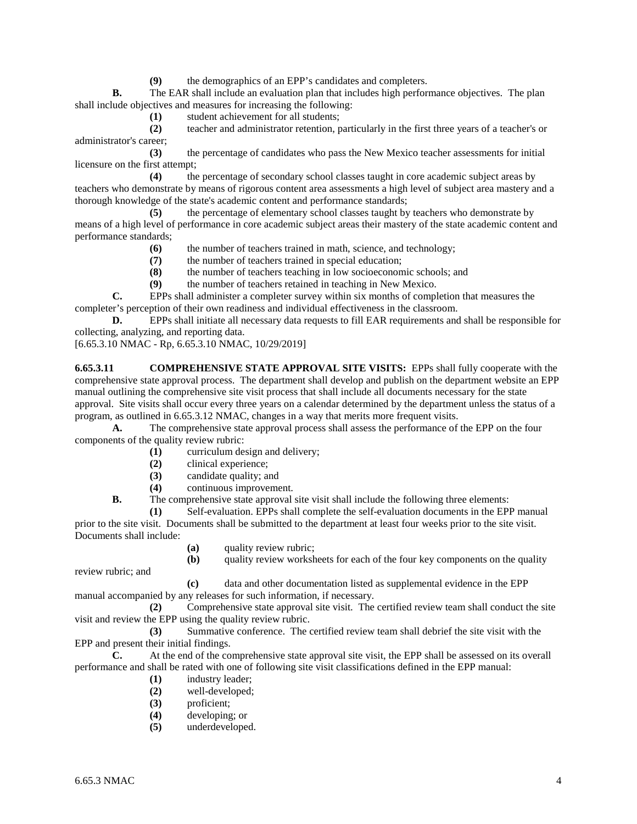**(9)** the demographics of an EPP's candidates and completers.

**B.** The EAR shall include an evaluation plan that includes high performance objectives. The plan shall include objectives and measures for increasing the following:

**(1)** student achievement for all students;

**(2)** teacher and administrator retention, particularly in the first three years of a teacher's or administrator's career;

**(3)** the percentage of candidates who pass the New Mexico teacher assessments for initial licensure on the first attempt;

**(4)** the percentage of secondary school classes taught in core academic subject areas by teachers who demonstrate by means of rigorous content area assessments a high level of subject area mastery and a thorough knowledge of the state's academic content and performance standards;

**(5)** the percentage of elementary school classes taught by teachers who demonstrate by means of a high level of performance in core academic subject areas their mastery of the state academic content and performance standards;

- **(6)** the number of teachers trained in math, science, and technology;
- **(7)** the number of teachers trained in special education;
- **(8)** the number of teachers teaching in low socioeconomic schools; and
- **(9)** the number of teachers retained in teaching in New Mexico.

**C.** EPPs shall administer a completer survey within six months of completion that measures the completer's perception of their own readiness and individual effectiveness in the classroom.

**D.** EPPs shall initiate all necessary data requests to fill EAR requirements and shall be responsible for collecting, analyzing, and reporting data.

[6.65.3.10 NMAC - Rp, 6.65.3.10 NMAC, 10/29/2019]

**6.65.3.11 COMPREHENSIVE STATE APPROVAL SITE VISITS:** EPPs shall fully cooperate with the comprehensive state approval process. The department shall develop and publish on the department website an EPP manual outlining the comprehensive site visit process that shall include all documents necessary for the state approval. Site visits shall occur every three years on a calendar determined by the department unless the status of a program, as outlined in 6.65.3.12 NMAC, changes in a way that merits more frequent visits.

**A.** The comprehensive state approval process shall assess the performance of the EPP on the four components of the quality review rubric:

- **(1)** curriculum design and delivery;
- **(2)** clinical experience;
- **(3)** candidate quality; and
- **(4)** continuous improvement.

**B.** The comprehensive state approval site visit shall include the following three elements:

**(1)** Self-evaluation. EPPs shall complete the self-evaluation documents in the EPP manual prior to the site visit. Documents shall be submitted to the department at least four weeks prior to the site visit. Documents shall include:

**(a)** quality review rubric;

**(b)** quality review worksheets for each of the four key components on the quality

review rubric; and

**(c)** data and other documentation listed as supplemental evidence in the EPP manual accompanied by any releases for such information, if necessary.

**(2)** Comprehensive state approval site visit. The certified review team shall conduct the site visit and review the EPP using the quality review rubric.

**(3)** Summative conference. The certified review team shall debrief the site visit with the EPP and present their initial findings.

**C.** At the end of the comprehensive state approval site visit, the EPP shall be assessed on its overall performance and shall be rated with one of following site visit classifications defined in the EPP manual:

- **(1)** industry leader;
- **(2)** well-developed;
- **(3)** proficient;
- **(4)** developing; or
- **(5)** underdeveloped.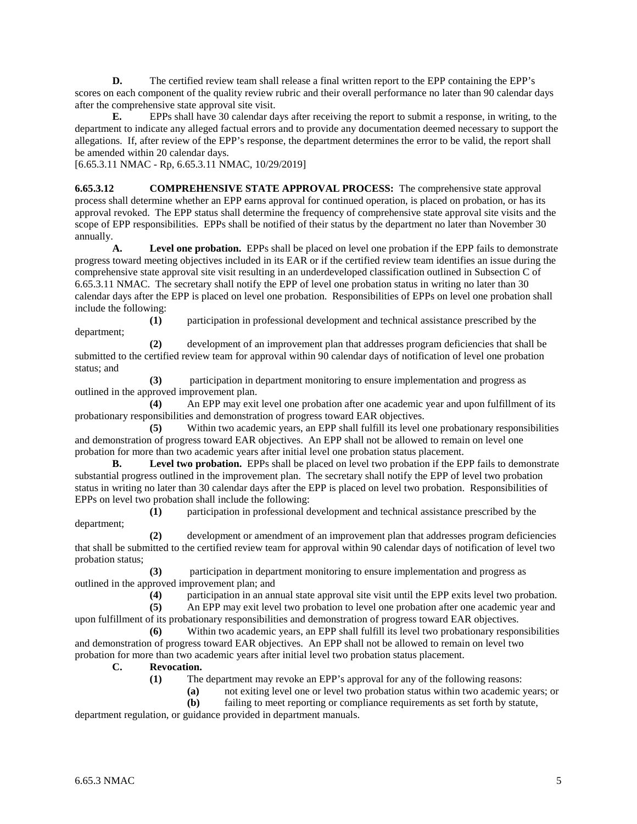**D.** The certified review team shall release a final written report to the EPP containing the EPP's scores on each component of the quality review rubric and their overall performance no later than 90 calendar days after the comprehensive state approval site visit.

**E.** EPPs shall have 30 calendar days after receiving the report to submit a response, in writing, to the department to indicate any alleged factual errors and to provide any documentation deemed necessary to support the allegations. If, after review of the EPP's response, the department determines the error to be valid, the report shall be amended within 20 calendar days.

[6.65.3.11 NMAC - Rp, 6.65.3.11 NMAC, 10/29/2019]

**6.65.3.12 COMPREHENSIVE STATE APPROVAL PROCESS:** The comprehensive state approval process shall determine whether an EPP earns approval for continued operation, is placed on probation, or has its approval revoked. The EPP status shall determine the frequency of comprehensive state approval site visits and the scope of EPP responsibilities. EPPs shall be notified of their status by the department no later than November 30 annually.

**A. Level one probation.** EPPs shall be placed on level one probation if the EPP fails to demonstrate progress toward meeting objectives included in its EAR or if the certified review team identifies an issue during the comprehensive state approval site visit resulting in an underdeveloped classification outlined in Subsection C of 6.65.3.11 NMAC. The secretary shall notify the EPP of level one probation status in writing no later than 30 calendar days after the EPP is placed on level one probation. Responsibilities of EPPs on level one probation shall include the following:

**(1)** participation in professional development and technical assistance prescribed by the department;

**(2)** development of an improvement plan that addresses program deficiencies that shall be submitted to the certified review team for approval within 90 calendar days of notification of level one probation status; and

**(3)** participation in department monitoring to ensure implementation and progress as outlined in the approved improvement plan.

**(4)** An EPP may exit level one probation after one academic year and upon fulfillment of its probationary responsibilities and demonstration of progress toward EAR objectives.

**(5)** Within two academic years, an EPP shall fulfill its level one probationary responsibilities and demonstration of progress toward EAR objectives. An EPP shall not be allowed to remain on level one probation for more than two academic years after initial level one probation status placement.

**B. Level two probation.** EPPs shall be placed on level two probation if the EPP fails to demonstrate substantial progress outlined in the improvement plan. The secretary shall notify the EPP of level two probation status in writing no later than 30 calendar days after the EPP is placed on level two probation. Responsibilities of EPPs on level two probation shall include the following:

**(1)** participation in professional development and technical assistance prescribed by the department;

**(2)** development or amendment of an improvement plan that addresses program deficiencies that shall be submitted to the certified review team for approval within 90 calendar days of notification of level two probation status;

**(3)** participation in department monitoring to ensure implementation and progress as outlined in the approved improvement plan; and

**(4)** participation in an annual state approval site visit until the EPP exits level two probation.

**(5)** An EPP may exit level two probation to level one probation after one academic year and upon fulfillment of its probationary responsibilities and demonstration of progress toward EAR objectives.

**(6)** Within two academic years, an EPP shall fulfill its level two probationary responsibilities and demonstration of progress toward EAR objectives. An EPP shall not be allowed to remain on level two probation for more than two academic years after initial level two probation status placement.

**C. Revocation.**

- **(1)** The department may revoke an EPP's approval for any of the following reasons:
	- **(a)** not exiting level one or level two probation status within two academic years; or

**(b)** failing to meet reporting or compliance requirements as set forth by statute,

department regulation, or guidance provided in department manuals.